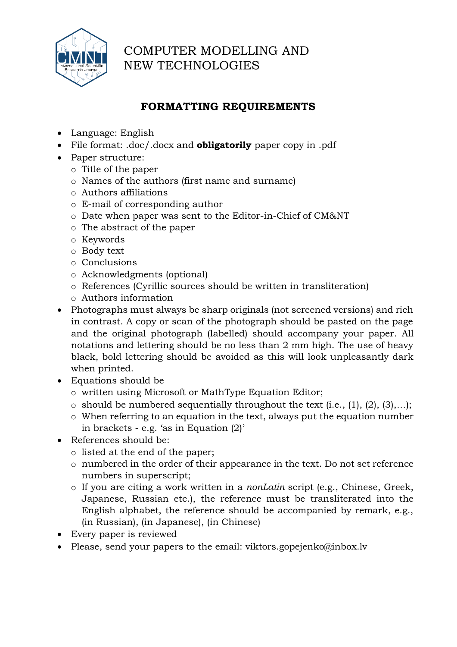

# COMPUTER MODELLING AND NEW TECHNOLOGIES

## **FORMATTING REQUIREMENTS**

- Language: English
- File format: .doc/.docx and **obligatorily** paper copy in .pdf
- Paper structure:
	- o Title of the paper
	- o Names of the authors (first name and surname)
	- o Authors affiliations
	- o E-mail of corresponding author
	- o Date when paper was sent to the Editor-in-Chief of CM&NT
	- o The abstract of the paper
	- o Keywords
	- o Body text
	- o Conclusions
	- o Acknowledgments (optional)
	- o References (Cyrillic sources should be written in transliteration)
	- o Authors information
- Photographs must always be sharp originals (not screened versions) and rich in contrast. A copy or scan of the photograph should be pasted on the page and the original photograph (labelled) should accompany your paper. All notations and lettering should be no less than 2 mm high. The use of heavy black, bold lettering should be avoided as this will look unpleasantly dark when printed.
- Equations should be
	- o written using Microsoft or MathType Equation Editor;
	- $\circ$  should be numbered sequentially throughout the text (i.e., (1), (2), (3),...);
	- o When referring to an equation in the text, always put the equation number in brackets - e.g. 'as in Equation (2)'
- References should be:
	- o listed at the end of the paper;
	- o numbered in the order of their appearance in the text. Do not set reference numbers in superscript;
	- o If you are citing a work written in a *nonLatin* script (e.g., Chinese, Greek, Japanese, Russian etc.), the reference must be transliterated into the English alphabet, the reference should be accompanied by remark, e.g., (in Russian), (in Japanese), (in Chinese)
- Every paper is reviewed
- Please, send your papers to the email: viktors.gopejenko@inbox.lv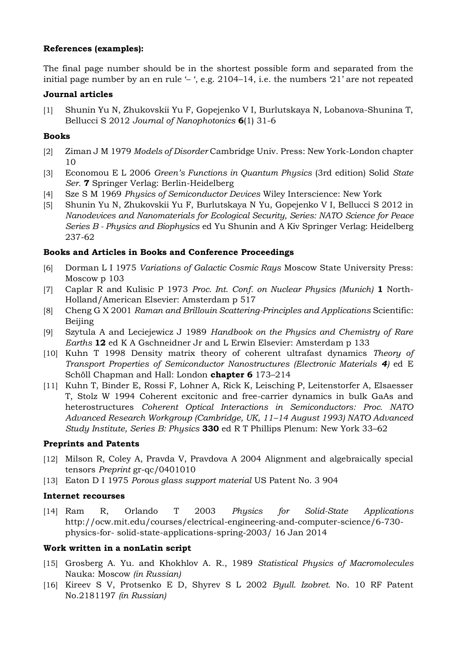## **References (examples):**

The final page number should be in the shortest possible form and separated from the initial page number by an en rule '– ', e.g. 2104–14, i.e. the numbers '21' are not repeated

## **Journal articles**

[1] Shunin Yu N, Zhukovskii Yu F, Gopejenko V I, Burlutskaya N, Lobanova-Shunina T, Bellucci S 2012 *Journal of Nanophotonics* **6**(1) 31-6

## **Books**

- [2] Ziman J M 1979 *Models of Disorder* Cambridge Univ. Press: New York-London chapter 10
- [3] Economou E L 2006 *Green's Functions in Quantum Physics* (3rd edition) Solid *State Ser.* **7** Springer Verlag: Berlin-Heidelberg
- [4] Sze S M 1969 *Physics of Semiconductor Devices* Wiley Interscience: New York
- [5] Shunin Yu N, Zhukovskii Yu F, Burlutskaya N Yu, Gopejenko V I, Bellucci S 2012 in *Nanodevices and Nanomaterials for Ecological Security, Series: NATO Science for Peace Series B - Physics and Biophysics* ed Yu Shunin and A Kiv Springer Verlag: Heidelberg 237-62

## **Books and Articles in Books and Conference Proceedings**

- [6] Dorman L I 1975 *Variations of Galactic Cosmic Rays* Moscow State University Press: Moscow p 103
- [7] Caplar R and Kulisic P 1973 *Proc. Int. Conf. on Nuclear Physics (Munich)* **1** North-Holland/American Elsevier: Amsterdam p 517
- [8] Cheng G X 2001 *Raman and Brillouin Scattering-Principles and Applications* Scientific: Beijing
- [9] Szytula A and Leciejewicz J 1989 *Handbook on the Physics and Chemistry of Rare Earths* **12** ed K A Gschneidner Jr and L Erwin Elsevier: Amsterdam p 133
- [10] Kuhn T 1998 Density matrix theory of coherent ultrafast dynamics *Theory of Transport Properties of Semiconductor Nanostructures (Electronic Materials 4)* ed E Schöll Chapman and Hall: London **chapter 6** 173–214
- [11] Kuhn T, Binder E, Rossi F, Lohner A, Rick K, Leisching P, Leitenstorfer A, Elsaesser T, Stolz W 1994 Coherent excitonic and free-carrier dynamics in bulk GaAs and heterostructures *Coherent Optical Interactions in Semiconductors: Proc. NATO Advanced Research Workgroup (Cambridge, UK, 11–14 August 1993) NATO Advanced Study Institute, Series B: Physics* **330** ed R T Phillips Plenum: New York 33–62

## **Preprints and Patents**

- [12] Milson R, Coley A, Pravda V, Pravdova A 2004 Alignment and algebraically special tensors *Preprint* gr-qc/0401010
- [13] Eaton D I 1975 *Porous glass support material* US Patent No. 3 904

## **Internet recourses**

[14] Ram R, Orlando T 2003 *Physics for Solid-State Applications*  http://ocw.mit.edu/courses/electrical-engineering-and-computer-science/6-730 physics-for- solid-state-applications-spring-2003/ 16 Jan 2014

## **Work written in a nonLatin script**

- [15] Grosberg A. Yu. and Khokhlov A. R., 1989 *Statistical Physics of Macromolecules* Nauka: Moscow *(in Russian)*
- [16] Kireev S V, Protsenko E D, Shyrev S L 2002 *Byull. Izobret.* No. 10 RF Patent No.2181197 *(in Russian)*